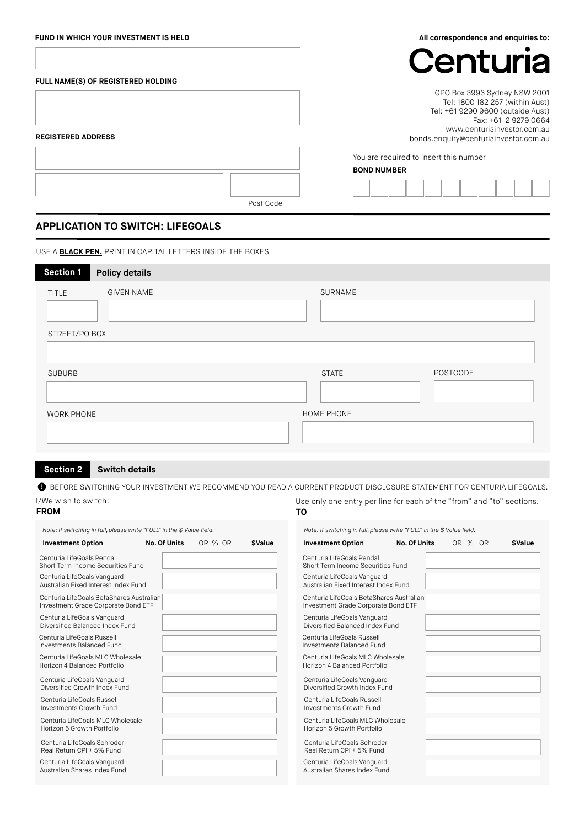| FUND IN WHICH YOUR INVESTMENT IS HELD          | All correspondence and enquiries to:                                                                                                                                                                 |  |  |  |  |
|------------------------------------------------|------------------------------------------------------------------------------------------------------------------------------------------------------------------------------------------------------|--|--|--|--|
|                                                | Centuria                                                                                                                                                                                             |  |  |  |  |
| FULL NAME(S) OF REGISTERED HOLDING             |                                                                                                                                                                                                      |  |  |  |  |
| <b>REGISTERED ADDRESS</b>                      | GPO Box 3993 Sydney NSW 2001<br>Tel: 1800 182 257 (within Aust)<br>Tel: +61 9290 9600 (outside Aust)<br>Fax: +61 2 9279 0664<br>www.centuriainvestor.com.au<br>bonds.enquiry@centuriainvestor.com.au |  |  |  |  |
|                                                | You are required to insert this number<br><b>BOND NUMBER</b>                                                                                                                                         |  |  |  |  |
|                                                |                                                                                                                                                                                                      |  |  |  |  |
| Post Code<br>ADDI ICATION TO SWITCH I IFFGOALS |                                                                                                                                                                                                      |  |  |  |  |

# **APPLICATION TO SWITCH: LIFEGOALS**

USE A **BLACK PEN.** PRINT IN CAPITAL LETTERS INSIDE THE BOXES

| <b>Section 1</b>  | <b>Policy details</b> |              |          |
|-------------------|-----------------------|--------------|----------|
| TITLE             | <b>GIVEN NAME</b>     | SURNAME      |          |
| STREET/PO BOX     |                       |              |          |
| <b>SUBURB</b>     |                       | <b>STATE</b> | POSTCODE |
| <b>WORK PHONE</b> |                       | HOME PHONE   |          |

## **Section 2 Switch details**

 $\bullet$  before switching your investment we recommend you read a current product disclosure statement for centuria lifegoals.

**TO**

Use only one entry per line for each of the "from" and "to" sections.

## I/We wish to switch:

| Note: If switching in full, please write "FULL" in the \$ Value field.          |              |         |                             | Note: If switching in full, please write "FULL" in the \$ Value field.          |              |         |                             |
|---------------------------------------------------------------------------------|--------------|---------|-----------------------------|---------------------------------------------------------------------------------|--------------|---------|-----------------------------|
| <b>Investment Option</b>                                                        | No. Of Units | OR % OR | <b><i><u>SValue</u></i></b> | <b>Investment Option</b>                                                        | No. Of Units | OR % OR | <b><i><u>SValue</u></i></b> |
| Centuria LifeGoals Pendal<br>Short Term Income Securities Fund                  |              |         |                             | Centuria LifeGoals Pendal<br>Short Term Income Securities Fund                  |              |         |                             |
| Centuria LifeGoals Vanguard<br>Australian Fixed Interest Index Fund             |              |         |                             | Centuria LifeGoals Vanguard<br>Australian Fixed Interest Index Fund             |              |         |                             |
| Centuria LifeGoals BetaShares Australian<br>Investment Grade Corporate Bond ETF |              |         |                             | Centuria LifeGoals BetaShares Australian<br>Investment Grade Corporate Bond ETF |              |         |                             |
| Centuria LifeGoals Vanguard<br>Diversified Balanced Index Fund                  |              |         |                             | Centuria LifeGoals Vanguard<br>Diversified Balanced Index Fund                  |              |         |                             |
| Centuria LifeGoals Russell<br>Investments Balanced Fund                         |              |         |                             | Centuria LifeGoals Russell<br>Investments Balanced Fund                         |              |         |                             |
| Centuria LifeGoals MLC Wholesale<br>Horizon 4 Balanced Portfolio                |              |         |                             | Centuria LifeGoals MLC Wholesale<br>Horizon 4 Balanced Portfolio                |              |         |                             |
| Centuria LifeGoals Vanguard<br>Diversified Growth Index Fund                    |              |         |                             | Centuria LifeGoals Vanguard<br>Diversified Growth Index Fund                    |              |         |                             |
| Centuria LifeGoals Russell<br>Investments Growth Fund                           |              |         |                             | Centuria LifeGoals Russell<br>Investments Growth Fund                           |              |         |                             |
| Centuria LifeGoals MLC Wholesale<br>Horizon 5 Growth Portfolio                  |              |         |                             | Centuria LifeGoals MLC Wholesale<br>Horizon 5 Growth Portfolio                  |              |         |                             |
| Centuria LifeGoals Schroder<br>Real Return CPI + 5% Fund                        |              |         |                             | Centuria LifeGoals Schroder<br>Real Return CPI + 5% Fund                        |              |         |                             |
| Centuria LifeGoals Vanguard<br>Australian Shares Index Fund                     |              |         |                             | Centuria LifeGoals Vanguard<br>Australian Shares Index Fund                     |              |         |                             |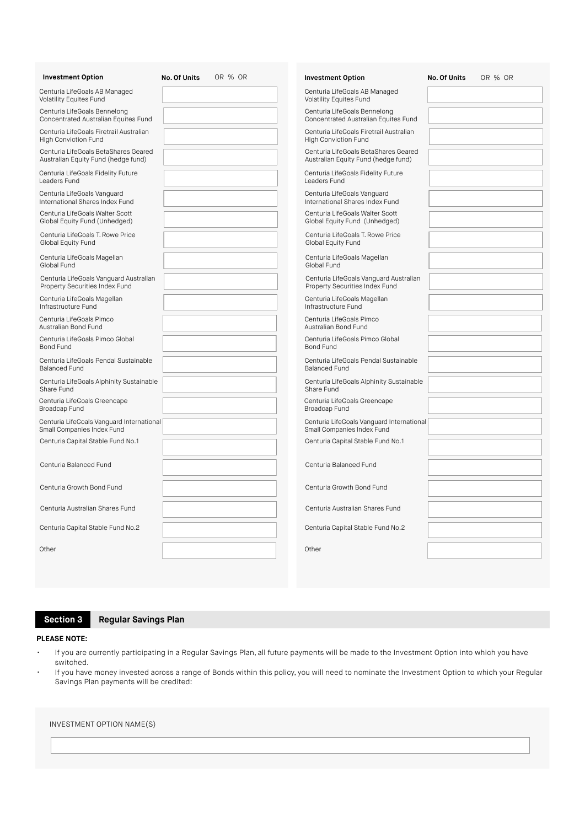| <b>Investment Option</b>                                                    | No. Of Units | OR % OR | <b>Investment Option</b>                                                    | No. Of Units | OR % OR |
|-----------------------------------------------------------------------------|--------------|---------|-----------------------------------------------------------------------------|--------------|---------|
| Centuria LifeGoals AB Managed<br>Volatility Equites Fund                    |              |         | Centuria LifeGoals AB Managed<br><b>Volatility Equites Fund</b>             |              |         |
| Centuria LifeGoals Bennelong<br>Concentrated Australian Equites Fund        |              |         | Centuria LifeGoals Bennelong<br>Concentrated Australian Equites Fund        |              |         |
| Centuria LifeGoals Firetrail Australian<br><b>High Conviction Fund</b>      |              |         | Centuria LifeGoals Firetrail Australian<br><b>High Conviction Fund</b>      |              |         |
| Centuria LifeGoals BetaShares Geared<br>Australian Equity Fund (hedge fund) |              |         | Centuria LifeGoals BetaShares Geared<br>Australian Equity Fund (hedge fund) |              |         |
| Centuria LifeGoals Fidelity Future<br>Leaders Fund                          |              |         | Centuria LifeGoals Fidelity Future<br>Leaders Fund                          |              |         |
| Centuria LifeGoals Vanguard<br>International Shares Index Fund              |              |         | Centuria LifeGoals Vanguard<br>International Shares Index Fund              |              |         |
| Centuria LifeGoals Walter Scott<br>Global Equity Fund (Unhedged)            |              |         | Centuria LifeGoals Walter Scott<br>Global Equity Fund (Unhedged)            |              |         |
| Centuria LifeGoals T. Rowe Price<br>Global Equity Fund                      |              |         | Centuria LifeGoals T. Rowe Price<br>Global Equity Fund                      |              |         |
| Centuria LifeGoals Magellan<br>Global Fund                                  |              |         | Centuria LifeGoals Magellan<br>Global Fund                                  |              |         |
| Centuria LifeGoals Vanguard Australian<br>Property Securities Index Fund    |              |         | Centuria LifeGoals Vanguard Australian<br>Property Securities Index Fund    |              |         |
| Centuria LifeGoals Magellan<br>Infrastructure Fund                          |              |         | Centuria LifeGoals Magellan<br>Infrastructure Fund                          |              |         |
| Centuria LifeGoals Pimco<br>Australian Bond Fund                            |              |         | Centuria LifeGoals Pimco<br>Australian Bond Fund                            |              |         |
| Centuria LifeGoals Pimco Global<br><b>Bond Fund</b>                         |              |         | Centuria LifeGoals Pimco Global<br><b>Bond Fund</b>                         |              |         |
| Centuria LifeGoals Pendal Sustainable<br><b>Balanced Fund</b>               |              |         | Centuria LifeGoals Pendal Sustainable<br><b>Balanced Fund</b>               |              |         |
| Centuria LifeGoals Alphinity Sustainable<br>Share Fund                      |              |         | Centuria LifeGoals Alphinity Sustainable<br>Share Fund                      |              |         |
| Centuria LifeGoals Greencape<br>Broadcap Fund                               |              |         | Centuria LifeGoals Greencape<br>Broadcap Fund                               |              |         |
| Centuria LifeGoals Vanguard International<br>Small Companies Index Fund     |              |         | Centuria LifeGoals Vanguard International<br>Small Companies Index Fund     |              |         |
| Centuria Capital Stable Fund No.1                                           |              |         | Centuria Capital Stable Fund No.1                                           |              |         |
| Centuria Balanced Fund                                                      |              |         | Centuria Balanced Fund                                                      |              |         |
| Centuria Growth Bond Fund                                                   |              |         | Centuria Growth Bond Fund                                                   |              |         |
| Centuria Australian Shares Fund                                             |              |         | Centuria Australian Shares Fund                                             |              |         |
| Centuria Capital Stable Fund No.2                                           |              |         | Centuria Capital Stable Fund No.2                                           |              |         |
| Other                                                                       |              |         | Other                                                                       |              |         |
|                                                                             |              |         |                                                                             |              |         |

**Section 3 Regular Savings Plan**

### **PLEASE NOTE:**

- If you are currently participating in a Regular Savings Plan, all future payments will be made to the Investment Option into which you have switched.
- If you have money invested across a range of Bonds within this policy, you will need to nominate the Investment Option to which your Regular Savings Plan payments will be credited:

#### INVESTMENT OPTION NAME(S)